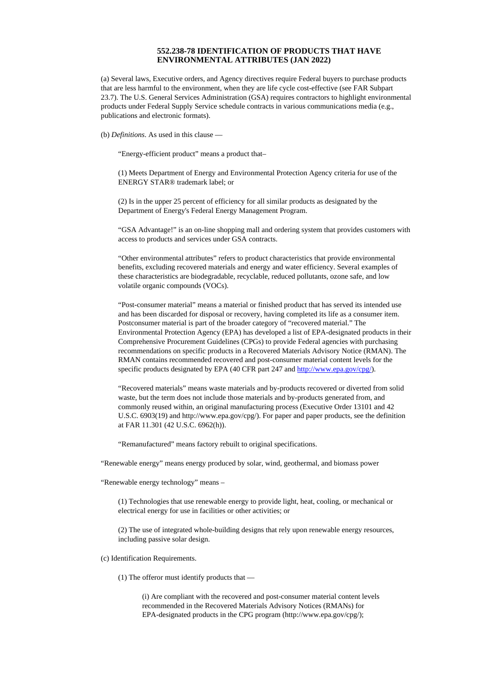## **552.238-78 IDENTIFICATION OF PRODUCTS THAT HAVE ENVIRONMENTAL ATTRIBUTES (JAN 2022)**

(a) Several laws, Executive orders, and Agency directives require Federal buyers to purchase products that are less harmful to the environment, when they are life cycle cost-effective (see FAR Subpart 23.7). The U.S. General Services Administration (GSA) requires contractors to highlight environmental products under Federal Supply Service schedule contracts in various communications media (e.g., publications and electronic formats).

(b) *Definitions*. As used in this clause —

"Energy-efficient product" means a product that–

(1) Meets Department of Energy and Environmental Protection Agency criteria for use of the ENERGY STAR® trademark label; or

(2) Is in the upper 25 percent of efficiency for all similar products as designated by the Department of Energy's Federal Energy Management Program.

"GSA Advantage!" is an on-line shopping mall and ordering system that provides customers with access to products and services under GSA contracts.

"Other environmental attributes" refers to product characteristics that provide environmental benefits, excluding recovered materials and energy and water efficiency. Several examples of these characteristics are biodegradable, recyclable, reduced pollutants, ozone safe, and low volatile organic compounds (VOCs).

"Post-consumer material" means a material or finished product that has served its intended use and has been discarded for disposal or recovery, having completed its life as a consumer item. Postconsumer material is part of the broader category of "recovered material." The Environmental Protection Agency (EPA) has developed a list of EPA-designated products in their Comprehensive Procurement Guidelines (CPGs) to provide Federal agencies with purchasing recommendations on specific products in a Recovered Materials Advisory Notice (RMAN). The RMAN contains recommended recovered and post-consumer material content levels for the specific products designated by EPA (40 CFR part 247 and <http://www.epa.gov/cpg/>).

"Recovered materials" means waste materials and by-products recovered or diverted from solid waste, but the term does not include those materials and by-products generated from, and commonly reused within, an original manufacturing process (Executive Order 13101 and 42 U.S.C. 6903(19) and http://www.epa.gov/cpg/). For paper and paper products, see the definition at FAR 11.301 (42 U.S.C. 6962(h)).

"Remanufactured" means factory rebuilt to original specifications.

"Renewable energy" means energy produced by solar, wind, geothermal, and biomass power

"Renewable energy technology" means –

(1) Technologies that use renewable energy to provide light, heat, cooling, or mechanical or electrical energy for use in facilities or other activities; or

(2) The use of integrated whole-building designs that rely upon renewable energy resources, including passive solar design.

(c) Identification Requirements.

(1) The offeror must identify products that —

(i) Are compliant with the recovered and post-consumer material content levels recommended in the Recovered Materials Advisory Notices (RMANs) for EPA-designated products in the CPG program (http://www.epa.gov/cpg/);